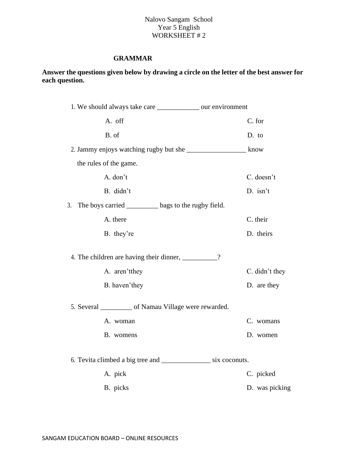## Nalovo Sangam School Year 5 English WORKSHEET #2

# **GRAMMAR**

# **Answer the questions given below by drawing a circle on the letter of the best answer for each question.**

| 1. We should always take care ______________ our environment         |                |
|----------------------------------------------------------------------|----------------|
| A. off                                                               | C. for         |
| B. of                                                                | D. to          |
|                                                                      |                |
| the rules of the game.                                               |                |
| A. don't                                                             | C. doesn't     |
| B. didn't                                                            | D. isn't       |
| The boys carried ________ bags to the rugby field.<br>3.             |                |
| A. there                                                             | C. their       |
| B. they're                                                           | D. theirs      |
| 4. The children are having their dinner, __________?                 |                |
| A. aren'tthey                                                        | C. didn't they |
| B. haven'they                                                        | D. are they    |
| 5. Several ___________ of Namau Village were rewarded.               |                |
| A. woman                                                             | C. womans      |
| B. womens                                                            | D. women       |
| 6. Tevita climbed a big tree and _____________________ six coconuts. |                |
| A. pick                                                              | C. picked      |
| B. picks                                                             | D. was picking |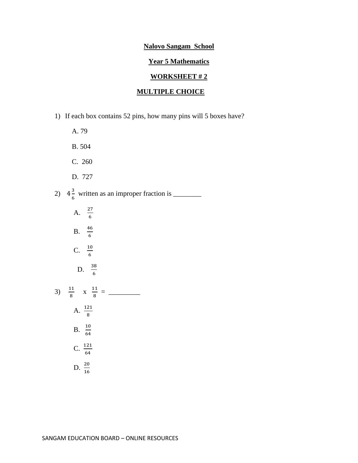#### **Year 5 Mathematics**

#### **WORKSHEET # 2**

# **MULTIPLE CHOICE**

- 1) If each box contains 52 pins, how many pins will 5 boxes have?
- A. 79 B. 504 C. 260 D. 727 2)  $4\frac{3}{5}$ 6 written as an improper fraction is \_\_\_\_\_\_\_\_
- A.  $\frac{27}{6}$  $B. \frac{46}{6}$ C.  $\frac{10}{6}$ D.  $\frac{38}{6}$ 3)  $\frac{11}{9}$  $\frac{11}{8}$  x  $\frac{11}{8}$ 8 = \_\_\_\_\_\_\_\_\_ A.  $\frac{121}{8}$ B.  $\frac{10}{64}$ C.  $\frac{121}{64}$ D.  $\frac{20}{16}$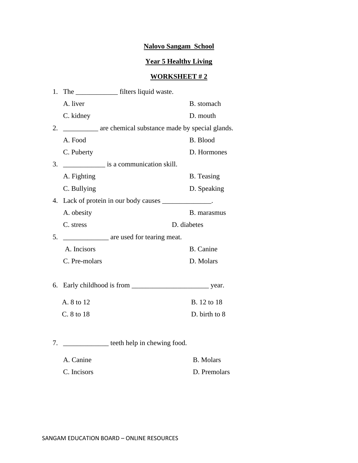# **Year 5 Healthy Living**

## **WORKSHEET # 2**

| 1. |               |                                                 |                   |
|----|---------------|-------------------------------------------------|-------------------|
|    | A. liver      |                                                 | B. stomach        |
|    | C. kidney     |                                                 | D. mouth          |
| 2. |               | are chemical substance made by special glands.  |                   |
|    | A. Food       |                                                 | <b>B.</b> Blood   |
|    | C. Puberty    |                                                 | D. Hormones       |
| 3. |               | is a communication skill.                       |                   |
|    | A. Fighting   |                                                 | <b>B.</b> Teasing |
|    | C. Bullying   |                                                 | D. Speaking       |
| 4. |               | Lack of protein in our body causes              |                   |
|    | A. obesity    |                                                 | B. marasmus       |
|    | C. stress     |                                                 | D. diabetes       |
| 5. |               | are used for tearing meat.                      |                   |
|    | A. Incisors   |                                                 | <b>B.</b> Canine  |
|    | C. Pre-molars |                                                 | D. Molars         |
| 6. |               |                                                 |                   |
|    | A. 8 to 12    |                                                 | B. 12 to 18       |
|    | C. 8 to 18    |                                                 | D. birth to 8     |
| 7. |               | ___________________ teeth help in chewing food. |                   |

A. Canine B. Molars C. Incisors D. Premolars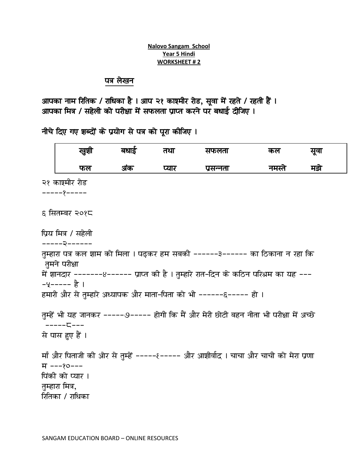#### **Nalovo Sangam School Year 5 Hindi WORKSHEET # 2**

# पत्र लेखन

आपका नाम रितिक / राधिका है । आप २१ काश्मीर रोड, सूवा में रहते / रहती हैं । आपका मित्र / सहेली को परीक्षा में सफलता प्राप्त करने पर बधाई दीजिए ।

नीचे दिए गए शब्दों के प्रयोग से पत्र को पूरा कीजिए ।

| खुशी                                                                 | बधाई | तथा   | सफलता                                                                                                                                                                                                                                      | कल     | सूवा |  |
|----------------------------------------------------------------------|------|-------|--------------------------------------------------------------------------------------------------------------------------------------------------------------------------------------------------------------------------------------------|--------|------|--|
| फल                                                                   | अंक  | प्यार | प्रसन्नता                                                                                                                                                                                                                                  | नमस्ते | मझे  |  |
| २१ काश्मीर रोड<br>------9-----                                       |      |       |                                                                                                                                                                                                                                            |        |      |  |
| ६ सितम्बर २०१८                                                       |      |       |                                                                                                                                                                                                                                            |        |      |  |
| प्रिय मित्र / सहेली                                                  |      |       |                                                                                                                                                                                                                                            |        |      |  |
| तुमने परीक्षा<br>–५––––– है ।                                        |      |       | तुम्हारा पत्र कल शाम को मिला । पढ़कर हम सबकी ------३------ का ठिकाना न रहा कि<br>में शानदार -------8------ प्राप्त की है । तुम्हारे रात-दिन के कठिन परिश्रम का यह ---<br>हमारी और से तुम्हारे अध्यापक और माता–पिता को भी ------६----- हो । |        |      |  |
| ------ こ---<br>से पास हुए हैं ।                                      |      |       | तुम्हें भी यह जानकर -----७----- होगी कि मैं और मेरी छोटी बहन नीता भी परीक्षा में अच्छे                                                                                                                                                     |        |      |  |
| म ---१०---<br>पिंकी को प्यार ।<br>तुम्हारा मित्र,<br>रितिका / राधिका |      |       | माँ और पिताजी की ओर से तुम्हें -----ह----- और आशीर्वाद । चाचा और चाची को मेरा प्रणा                                                                                                                                                        |        |      |  |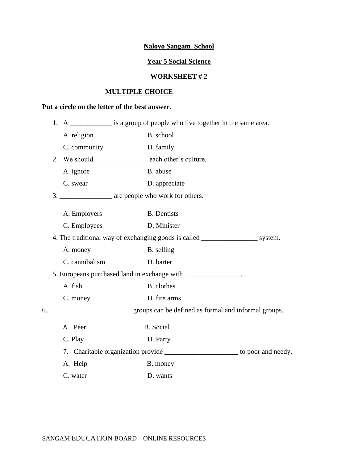# **Year 5 Social Science**

# **WORKSHEET # 2**

# **MULTIPLE CHOICE**

# **Put a circle on the letter of the best answer.**

|  |                | 1. A ______________ is a group of people who live together in the same area.     |
|--|----------------|----------------------------------------------------------------------------------|
|  | A. religion    | B. school                                                                        |
|  | C. community   | D. family                                                                        |
|  |                | 2. We should each other's culture.                                               |
|  | A. ignore      | B. abuse                                                                         |
|  | C. swear       | D. appreciate                                                                    |
|  |                |                                                                                  |
|  | A. Employers   | <b>B.</b> Dentists                                                               |
|  | C. Employees   | D. Minister                                                                      |
|  |                | 4. The traditional way of exchanging goods is called ___________________ system. |
|  | A. money       | B. selling                                                                       |
|  | C. cannibalism | D. barter                                                                        |
|  |                | 5. Europeans purchased land in exchange with _______________.                    |
|  | A. fish        | B. clothes                                                                       |
|  | C. money       | D. fire arms                                                                     |
|  |                |                                                                                  |
|  | A. Peer        | <b>B.</b> Social                                                                 |
|  | C. Play        | D. Party                                                                         |
|  |                | 7. Charitable organization provide _______________________ to poor and needy.    |
|  | A. Help        | B. money                                                                         |
|  | C. water       | D. wants                                                                         |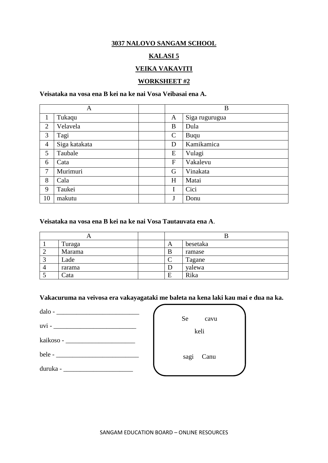## **3037 NALOVO SANGAM SCHOOL**

# **KALASI 5**

# **VEIKA VAKAVITI**

## **WORKSHEET #2**

# **Veisataka na vosa ena B kei na ke nai Vosa Veibasai ena A.**

|                | A             | B            |                |
|----------------|---------------|--------------|----------------|
| 1              | Tukaqu        | A            | Siga rugurugua |
| $\overline{2}$ | Velavela      | B            | Dula           |
| 3              | Tagi          | $\mathsf{C}$ | Buqu           |
| $\overline{4}$ | Siga katakata | D            | Kamikamica     |
| 5              | Taubale       | E            | Vulagi         |
| 6              | Cata          | F            | Vakalevu       |
| 7              | Murimuri      | G            | Vinakata       |
| 8              | Cala          | H            | Matai          |
| 9              | Taukei        | I            | Cici           |
| 10             | makutu        | J            | Donu           |

#### **Veisataka na vosa ena B kei na ke nai Vosa Tautauvata ena A**.

|   |        |   | D        |
|---|--------|---|----------|
|   | Turaga | A | besetaka |
| ∸ | Marama | B | ramase   |
|   | Lade   |   | Tagane   |
|   | rarama |   | yalewa   |
|   | Cata   | E | Rika     |

**Vakacuruma na veivosa era vakayagataki me baleta na kena laki kau mai e dua na ka.**

 $\overline{\phantom{a}}$ 

| $\text{dalo -}\n \begin{tabular}{ c c c c } \hline \multicolumn{3}{ c }{\text{dalo -}\n \quad \quad } & \multicolumn{3}{ c }{\text{dalo -}\n \quad \quad } & \multicolumn{3}{ c }{\text{dodo -}\n \quad \quad } & \multicolumn{3}{ c }{\text{dodo -}\n \quad \quad } & \multicolumn{3}{ c }{\text{dodo -}\n \quad \quad } & \multicolumn{3}{ c }{\text{dodo -}\n \quad \quad } & \multicolumn{3}{ c }{\text{dodo -}\n \quad \quad } & \multicolumn{3}{ c }{\text{dodo -}\$ |              |
|----------------------------------------------------------------------------------------------------------------------------------------------------------------------------------------------------------------------------------------------------------------------------------------------------------------------------------------------------------------------------------------------------------------------------------------------------------------------------|--------------|
|                                                                                                                                                                                                                                                                                                                                                                                                                                                                            | Se<br>cavu   |
| $uvi -$                                                                                                                                                                                                                                                                                                                                                                                                                                                                    | keli         |
|                                                                                                                                                                                                                                                                                                                                                                                                                                                                            |              |
|                                                                                                                                                                                                                                                                                                                                                                                                                                                                            | sagi<br>Canu |
|                                                                                                                                                                                                                                                                                                                                                                                                                                                                            |              |